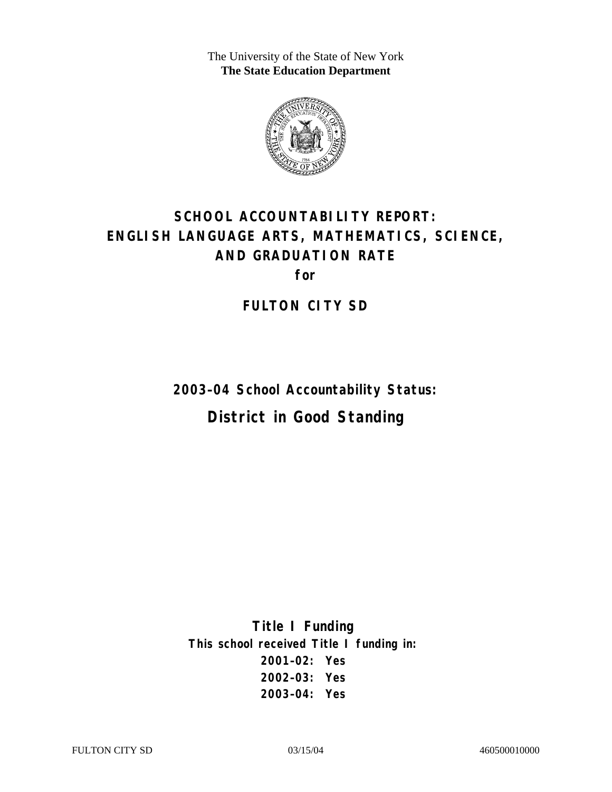The University of the State of New York **The State Education Department** 



# **SCHOOL ACCOUNTABILITY REPORT: ENGLISH LANGUAGE ARTS, MATHEMATICS, SCIENCE, AND GRADUATION RATE**

**for** 

**FULTON CITY SD** 

**2003–04 School Accountability Status: District in Good Standing** 

**Title I Funding This school received Title I funding in: 2001–02: Yes 2002–03: Yes 2003–04: Yes**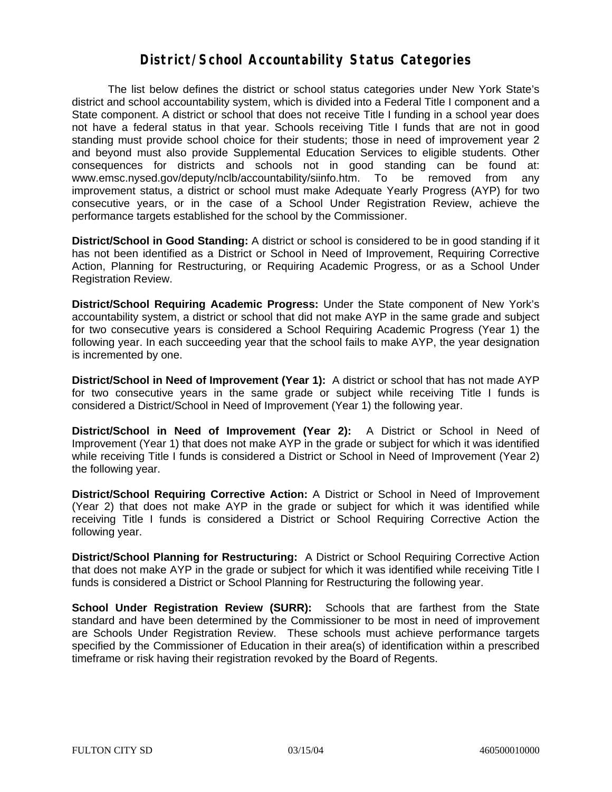#### **District/School Accountability Status Categories**

The list below defines the district or school status categories under New York State's district and school accountability system, which is divided into a Federal Title I component and a State component. A district or school that does not receive Title I funding in a school year does not have a federal status in that year. Schools receiving Title I funds that are not in good standing must provide school choice for their students; those in need of improvement year 2 and beyond must also provide Supplemental Education Services to eligible students. Other consequences for districts and schools not in good standing can be found at: www.emsc.nysed.gov/deputy/nclb/accountability/siinfo.htm. To be removed from any improvement status, a district or school must make Adequate Yearly Progress (AYP) for two consecutive years, or in the case of a School Under Registration Review, achieve the performance targets established for the school by the Commissioner.

**District/School in Good Standing:** A district or school is considered to be in good standing if it has not been identified as a District or School in Need of Improvement, Requiring Corrective Action, Planning for Restructuring, or Requiring Academic Progress, or as a School Under Registration Review.

**District/School Requiring Academic Progress:** Under the State component of New York's accountability system, a district or school that did not make AYP in the same grade and subject for two consecutive years is considered a School Requiring Academic Progress (Year 1) the following year. In each succeeding year that the school fails to make AYP, the year designation is incremented by one.

**District/School in Need of Improvement (Year 1):** A district or school that has not made AYP for two consecutive years in the same grade or subject while receiving Title I funds is considered a District/School in Need of Improvement (Year 1) the following year.

**District/School in Need of Improvement (Year 2):** A District or School in Need of Improvement (Year 1) that does not make AYP in the grade or subject for which it was identified while receiving Title I funds is considered a District or School in Need of Improvement (Year 2) the following year.

**District/School Requiring Corrective Action:** A District or School in Need of Improvement (Year 2) that does not make AYP in the grade or subject for which it was identified while receiving Title I funds is considered a District or School Requiring Corrective Action the following year.

**District/School Planning for Restructuring:** A District or School Requiring Corrective Action that does not make AYP in the grade or subject for which it was identified while receiving Title I funds is considered a District or School Planning for Restructuring the following year.

**School Under Registration Review (SURR):** Schools that are farthest from the State standard and have been determined by the Commissioner to be most in need of improvement are Schools Under Registration Review. These schools must achieve performance targets specified by the Commissioner of Education in their area(s) of identification within a prescribed timeframe or risk having their registration revoked by the Board of Regents.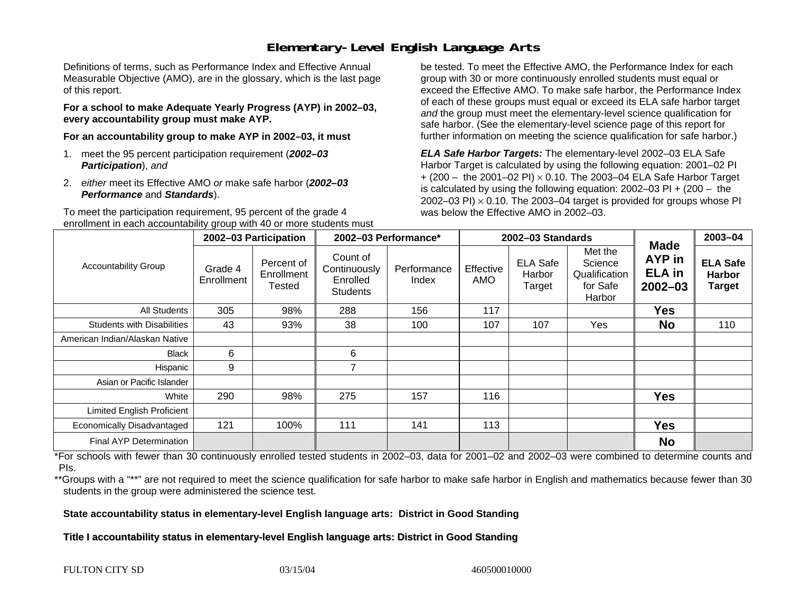## **Elementary-Level English Language Arts**

Definitions of terms, such as Performance Index and Effective Annual Measurable Objective (AMO), are in the glossary, which is the last page of this report.

**For a school to make Adequate Yearly Progress (AYP) in 2002–03, every accountability group must make AYP.** 

**For an accountability group to make AYP in 2002–03, it must** 

- 1. meet the 95 percent participation requirement (*2002–03 Participation*), *and*
- 2. *either* meet its Effective AMO *or* make safe harbor (*2002–03 Performance* and *Standards*).

To meet the participation requirement, 95 percent of the grade 4 enrollment in each accountability group with 40 or more students must

be tested. To meet the Effective AMO, the Performance Index for each group with 30 or more continuously enrolled students must equal or exceed the Effective AMO. To make safe harbor, the Performance Index of each of these groups must equal or exceed its ELA safe harbor target *and* the group must meet the elementary-level science qualification for safe harbor. (See the elementary-level science page of this report for further information on meeting the science qualification for safe harbor.)

*ELA Safe Harbor Targets:* The elementary-level 2002–03 ELA Safe Harbor Target is calculated by using the following equation: 2001–02 PI + (200 – the 2001–02 PI) <sup>×</sup> 0.10. The 2003–04 ELA Safe Harbor Target is calculated by using the following equation: 2002–03 PI + (200 – the 2002–03 PI)  $\times$  0.10. The 2003–04 target is provided for groups whose PI was below the Effective AMO in 2002–03.

|                                   | 2002-03 Participation |                                    | 2002-03 Performance*                                    |                      |                         | 2002-03 Standards                   |                                                           | 2003-04                                                      |                                                   |
|-----------------------------------|-----------------------|------------------------------------|---------------------------------------------------------|----------------------|-------------------------|-------------------------------------|-----------------------------------------------------------|--------------------------------------------------------------|---------------------------------------------------|
| <b>Accountability Group</b>       | Grade 4<br>Enrollment | Percent of<br>Enrollment<br>Tested | Count of<br>Continuously<br>Enrolled<br><b>Students</b> | Performance<br>Index | Effective<br><b>AMO</b> | <b>ELA Safe</b><br>Harbor<br>Target | Met the<br>Science<br>Qualification<br>for Safe<br>Harbor | <b>Made</b><br><b>AYP</b> in<br><b>ELA</b> in<br>$2002 - 03$ | <b>ELA Safe</b><br><b>Harbor</b><br><b>Target</b> |
| All Students                      | 305                   | 98%                                | 288                                                     | 156                  | 117                     |                                     |                                                           | <b>Yes</b>                                                   |                                                   |
| <b>Students with Disabilities</b> | 43                    | 93%                                | 38                                                      | 100                  | 107                     | 107                                 | Yes                                                       | <b>No</b>                                                    | 110                                               |
| American Indian/Alaskan Native    |                       |                                    |                                                         |                      |                         |                                     |                                                           |                                                              |                                                   |
| <b>Black</b>                      | 6                     |                                    | 6                                                       |                      |                         |                                     |                                                           |                                                              |                                                   |
| Hispanic                          | 9                     |                                    | $\overline{ }$                                          |                      |                         |                                     |                                                           |                                                              |                                                   |
| Asian or Pacific Islander         |                       |                                    |                                                         |                      |                         |                                     |                                                           |                                                              |                                                   |
| White                             | 290                   | 98%                                | 275                                                     | 157                  | 116                     |                                     |                                                           | <b>Yes</b>                                                   |                                                   |
| Limited English Proficient        |                       |                                    |                                                         |                      |                         |                                     |                                                           |                                                              |                                                   |
| Economically Disadvantaged        | 121                   | 100%                               | 111                                                     | 141                  | 113                     |                                     |                                                           | <b>Yes</b>                                                   |                                                   |
| Final AYP Determination           |                       |                                    |                                                         |                      |                         |                                     |                                                           | <b>No</b>                                                    |                                                   |

\*For schools with fewer than 30 continuously enrolled tested students in 2002–03, data for 2001–02 and 2002–03 were combined to determine counts and PIs.

\*\*Groups with a "\*\*" are not required to meet the science qualification for safe harbor to make safe harbor in English and mathematics because fewer than 30 students in the group were administered the science test.

**State accountability status in elementary-level English language arts: District in Good Standing** 

Title I accountability status in elementary-level English language arts: District in Good Standing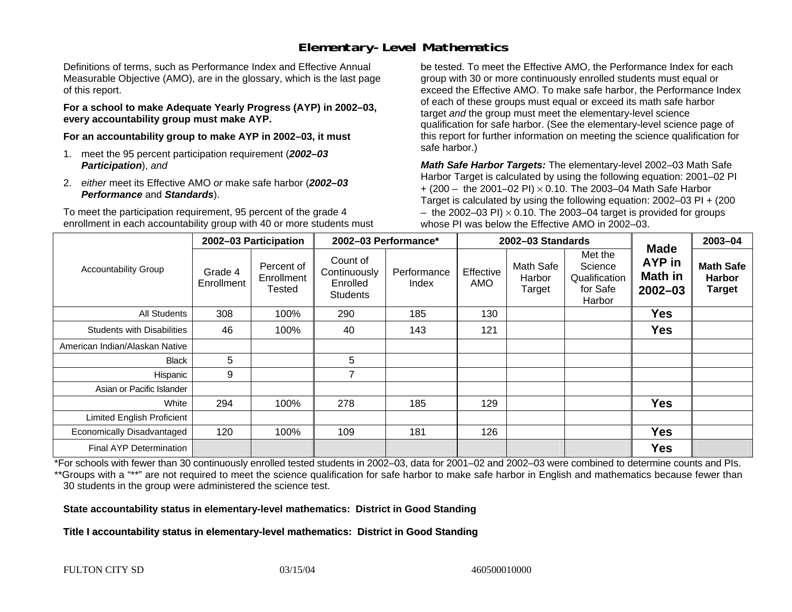## **Elementary-Level Mathematics**

Definitions of terms, such as Performance Index and Effective Annual Measurable Objective (AMO), are in the glossary, which is the last page of this report.

**For a school to make Adequate Yearly Progress (AYP) in 2002–03, every accountability group must make AYP.** 

**For an accountability group to make AYP in 2002–03, it must** 

- 1. meet the 95 percent participation requirement (*2002–03 Participation*), *and*
- 2. *either* meet its Effective AMO *or* make safe harbor (*2002–03 Performance* and *Standards*).

To meet the participation requirement, 95 percent of the grade 4 enrollment in each accountability group with 40 or more students must

be tested. To meet the Effective AMO, the Performance Index for each group with 30 or more continuously enrolled students must equal or exceed the Effective AMO. To make safe harbor, the Performance Index of each of these groups must equal or exceed its math safe harbor target *and* the group must meet the elementary-level science qualification for safe harbor. (See the elementary-level science page of this report for further information on meeting the science qualification for safe harbor.)

*Math Safe Harbor Targets:* The elementary-level 2002–03 Math Safe Harbor Target is calculated by using the following equation: 2001–02 PI + (200 – the 2001–02 PI) × 0.10. The 2003–04 Math Safe Harbor Target is calculated by using the following equation: 2002–03 PI + (200  $-$  the 2002–03 PI)  $\times$  0.10. The 2003–04 target is provided for groups whose PI was below the Effective AMO in 2002–03.

|                                   | 2002-03 Participation |                                    | 2002-03 Performance*                                    |                      | 2002-03 Standards       |                               |                                                           |                                                               | 2003-04                                            |
|-----------------------------------|-----------------------|------------------------------------|---------------------------------------------------------|----------------------|-------------------------|-------------------------------|-----------------------------------------------------------|---------------------------------------------------------------|----------------------------------------------------|
| <b>Accountability Group</b>       | Grade 4<br>Enrollment | Percent of<br>Enrollment<br>Tested | Count of<br>Continuously<br>Enrolled<br><b>Students</b> | Performance<br>Index | Effective<br><b>AMO</b> | Math Safe<br>Harbor<br>Target | Met the<br>Science<br>Qualification<br>for Safe<br>Harbor | <b>Made</b><br><b>AYP</b> in<br><b>Math in</b><br>$2002 - 03$ | <b>Math Safe</b><br><b>Harbor</b><br><b>Target</b> |
| All Students                      | 308                   | 100%                               | 290                                                     | 185                  | 130                     |                               |                                                           | <b>Yes</b>                                                    |                                                    |
| <b>Students with Disabilities</b> | 46                    | 100%                               | 40                                                      | 143                  | 121                     |                               |                                                           | <b>Yes</b>                                                    |                                                    |
| American Indian/Alaskan Native    |                       |                                    |                                                         |                      |                         |                               |                                                           |                                                               |                                                    |
| <b>Black</b>                      | 5                     |                                    | 5                                                       |                      |                         |                               |                                                           |                                                               |                                                    |
| Hispanic                          | 9                     |                                    | $\overline{ }$                                          |                      |                         |                               |                                                           |                                                               |                                                    |
| Asian or Pacific Islander         |                       |                                    |                                                         |                      |                         |                               |                                                           |                                                               |                                                    |
| White                             | 294                   | 100%                               | 278                                                     | 185                  | 129                     |                               |                                                           | <b>Yes</b>                                                    |                                                    |
| <b>Limited English Proficient</b> |                       |                                    |                                                         |                      |                         |                               |                                                           |                                                               |                                                    |
| Economically Disadvantaged        | 120                   | 100%                               | 109                                                     | 181                  | 126                     |                               |                                                           | <b>Yes</b>                                                    |                                                    |
| <b>Final AYP Determination</b>    |                       |                                    |                                                         |                      |                         |                               |                                                           | <b>Yes</b>                                                    |                                                    |

\*For schools with fewer than 30 continuously enrolled tested students in 2002–03, data for 2001–02 and 2002–03 were combined to determine counts and PIs. \*\*Groups with a "\*\*" are not required to meet the science qualification for safe harbor to make safe harbor in English and mathematics because fewer than 30 students in the group were administered the science test.

**State accountability status in elementary-level mathematics: District in Good Standing** 

Title I accountability status in elementary-level mathematics: District in Good Standing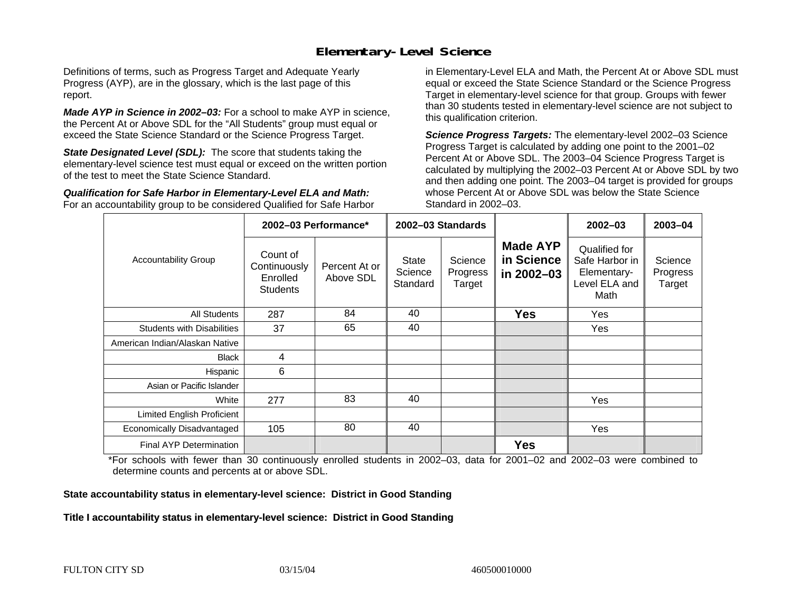#### **Elementary-Level Science**

Definitions of terms, such as Progress Target and Adequate Yearly Progress (AYP), are in the glossary, which is the last page of this report.

*Made AYP in Science in 2002–03:* For a school to make AYP in science, the Percent At or Above SDL for the "All Students" group must equal or exceed the State Science Standard or the Science Progress Target.

**State Designated Level (SDL):** The score that students taking the elementary-level science test must equal or exceed on the written portion of the test to meet the State Science Standard.

*Qualification for Safe Harbor in Elementary-Level ELA and Math:* For an accountability group to be considered Qualified for Safe Harbor in Elementary-Level ELA and Math, the Percent At or Above SDL must equal or exceed the State Science Standard or the Science Progress Target in elementary-level science for that group. Groups with fewer than 30 students tested in elementary-level science are not subject to this qualification criterion.

*Science Progress Targets:* The elementary-level 2002–03 Science Progress Target is calculated by adding one point to the 2001–02 Percent At or Above SDL. The 2003–04 Science Progress Target is calculated by multiplying the 2002–03 Percent At or Above SDL by two and then adding one point. The 2003–04 target is provided for groups whose Percent At or Above SDL was below the State Science Standard in 2002–03.

|                                   |                                                         | 2002-03 Performance*       | 2002-03 Standards                   |                               |                                             | $2002 - 03$                                                             | 2003-04                       |
|-----------------------------------|---------------------------------------------------------|----------------------------|-------------------------------------|-------------------------------|---------------------------------------------|-------------------------------------------------------------------------|-------------------------------|
| <b>Accountability Group</b>       | Count of<br>Continuously<br>Enrolled<br><b>Students</b> | Percent At or<br>Above SDL | <b>State</b><br>Science<br>Standard | Science<br>Progress<br>Target | <b>Made AYP</b><br>in Science<br>in 2002-03 | Qualified for<br>Safe Harbor in<br>Elementary-<br>Level ELA and<br>Math | Science<br>Progress<br>Target |
| All Students                      | 287                                                     | 84                         | 40                                  |                               | <b>Yes</b>                                  | Yes                                                                     |                               |
| <b>Students with Disabilities</b> | 37                                                      | 65                         | 40                                  |                               |                                             | Yes                                                                     |                               |
| American Indian/Alaskan Native    |                                                         |                            |                                     |                               |                                             |                                                                         |                               |
| <b>Black</b>                      | 4                                                       |                            |                                     |                               |                                             |                                                                         |                               |
| Hispanic                          | 6                                                       |                            |                                     |                               |                                             |                                                                         |                               |
| Asian or Pacific Islander         |                                                         |                            |                                     |                               |                                             |                                                                         |                               |
| White                             | 277                                                     | 83                         | 40                                  |                               |                                             | Yes                                                                     |                               |
| Limited English Proficient        |                                                         |                            |                                     |                               |                                             |                                                                         |                               |
| Economically Disadvantaged        | 105                                                     | 80                         | 40                                  |                               |                                             | Yes                                                                     |                               |
| <b>Final AYP Determination</b>    |                                                         |                            |                                     |                               | <b>Yes</b>                                  |                                                                         |                               |

\*For schools with fewer than 30 continuously enrolled students in 2002–03, data for 2001–02 and 2002–03 were combined to determine counts and percents at or above SDL.

#### **State accountability status in elementary-level science: District in Good Standing**

#### Title I accountability status in elementary-level science: District in Good Standing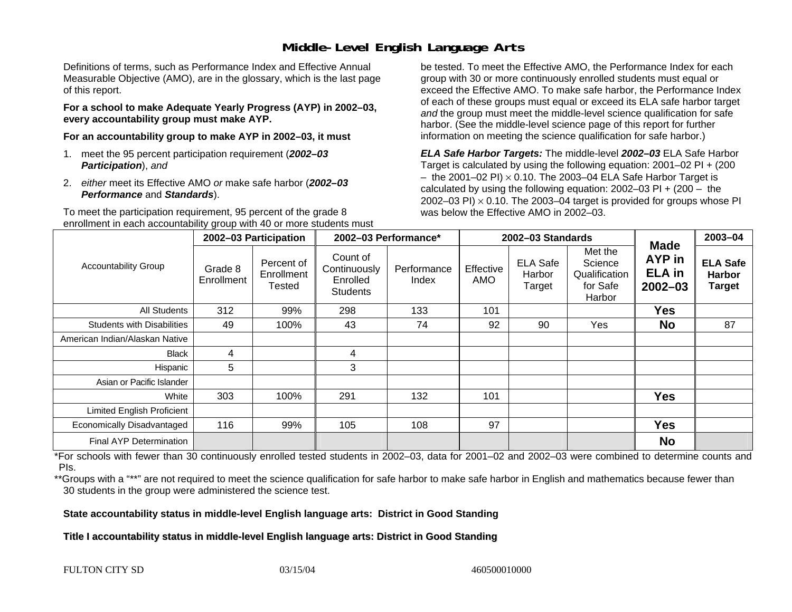### **Middle-Level English Language Arts**

Definitions of terms, such as Performance Index and Effective Annual Measurable Objective (AMO), are in the glossary, which is the last page of this report.

**For a school to make Adequate Yearly Progress (AYP) in 2002–03, every accountability group must make AYP.** 

**For an accountability group to make AYP in 2002–03, it must** 

- 1. meet the 95 percent participation requirement (*2002–03 Participation*), *and*
- 2. *either* meet its Effective AMO *or* make safe harbor (*2002–03 Performance* and *Standards*).

To meet the participation requirement, 95 percent of the grade 8 enrollment in each accountability group with 40 or more students must

be tested. To meet the Effective AMO, the Performance Index for each group with 30 or more continuously enrolled students must equal or exceed the Effective AMO. To make safe harbor, the Performance Index of each of these groups must equal or exceed its ELA safe harbor target *and* the group must meet the middle-level science qualification for safe harbor. (See the middle-level science page of this report for further information on meeting the science qualification for safe harbor.)

*ELA Safe Harbor Targets:* The middle-level *2002–03* ELA Safe Harbor Target is calculated by using the following equation: 2001–02 PI + (200  $-$  the 2001–02 PI)  $\times$  0.10. The 2003–04 ELA Safe Harbor Target is  $\,$ calculated by using the following equation:  $2002-03$  PI +  $(200 -$  the 2002–03 PI)  $\times$  0.10. The 2003–04 target is provided for groups whose PI was below the Effective AMO in 2002–03.

|                                   | 2002-03 Participation |                                    | 2002-03 Performance*                                    |                      |                         | 2002-03 Standards                   |                                                           | 2003-04                                        |                                            |
|-----------------------------------|-----------------------|------------------------------------|---------------------------------------------------------|----------------------|-------------------------|-------------------------------------|-----------------------------------------------------------|------------------------------------------------|--------------------------------------------|
| <b>Accountability Group</b>       | Grade 8<br>Enrollment | Percent of<br>Enrollment<br>Tested | Count of<br>Continuously<br>Enrolled<br><b>Students</b> | Performance<br>Index | Effective<br><b>AMO</b> | <b>ELA Safe</b><br>Harbor<br>Target | Met the<br>Science<br>Qualification<br>for Safe<br>Harbor | Made<br>AYP in<br><b>ELA</b> in<br>$2002 - 03$ | <b>ELA Safe</b><br><b>Harbor</b><br>Target |
| All Students                      | 312                   | 99%                                | 298                                                     | 133                  | 101                     |                                     |                                                           | <b>Yes</b>                                     |                                            |
| <b>Students with Disabilities</b> | 49                    | 100%                               | 43                                                      | 74                   | 92                      | 90                                  | Yes                                                       | <b>No</b>                                      | 87                                         |
| American Indian/Alaskan Native    |                       |                                    |                                                         |                      |                         |                                     |                                                           |                                                |                                            |
| Black                             | 4                     |                                    | 4                                                       |                      |                         |                                     |                                                           |                                                |                                            |
| Hispanic                          | 5                     |                                    | 3                                                       |                      |                         |                                     |                                                           |                                                |                                            |
| Asian or Pacific Islander         |                       |                                    |                                                         |                      |                         |                                     |                                                           |                                                |                                            |
| White                             | 303                   | 100%                               | 291                                                     | 132                  | 101                     |                                     |                                                           | <b>Yes</b>                                     |                                            |
| Limited English Proficient        |                       |                                    |                                                         |                      |                         |                                     |                                                           |                                                |                                            |
| Economically Disadvantaged        | 116                   | 99%                                | 105                                                     | 108                  | 97                      |                                     |                                                           | <b>Yes</b>                                     |                                            |
| Final AYP Determination           |                       |                                    |                                                         |                      |                         |                                     |                                                           | <b>No</b>                                      |                                            |

\*For schools with fewer than 30 continuously enrolled tested students in 2002–03, data for 2001–02 and 2002–03 were combined to determine counts and PIs.

\*\*Groups with a "\*\*" are not required to meet the science qualification for safe harbor to make safe harbor in English and mathematics because fewer than 30 students in the group were administered the science test.

**State accountability status in middle-level English language arts: District in Good Standing** 

Title I accountability status in middle-level English language arts: District in Good Standing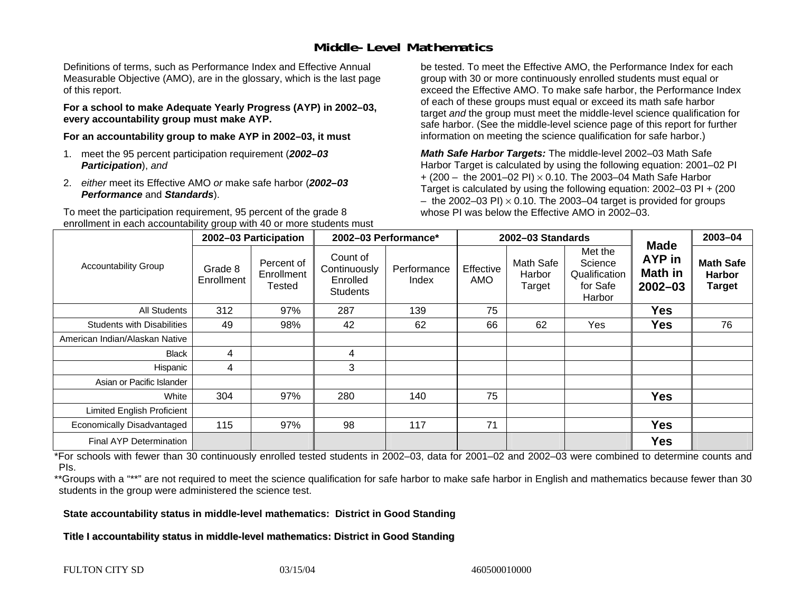### **Middle-Level Mathematics**

Definitions of terms, such as Performance Index and Effective Annual Measurable Objective (AMO), are in the glossary, which is the last page of this report.

**For a school to make Adequate Yearly Progress (AYP) in 2002–03, every accountability group must make AYP.** 

**For an accountability group to make AYP in 2002–03, it must** 

- 1. meet the 95 percent participation requirement (*2002–03 Participation*), *and*
- 2. *either* meet its Effective AMO *or* make safe harbor (*2002–03 Performance* and *Standards*).

To meet the participation requirement, 95 percent of the grade 8 enrollment in each accountability group with 40 or more students must

be tested. To meet the Effective AMO, the Performance Index for each group with 30 or more continuously enrolled students must equal or exceed the Effective AMO. To make safe harbor, the Performance Index of each of these groups must equal or exceed its math safe harbor target *and* the group must meet the middle-level science qualification for safe harbor. (See the middle-level science page of this report for further information on meeting the science qualification for safe harbor.)

*Math Safe Harbor Targets:* The middle-level 2002–03 Math Safe Harbor Target is calculated by using the following equation: 2001–02 PI + (200 – the 2001–02 PI) × 0.10. The 2003–04 Math Safe Harbor Target is calculated by using the following equation: 2002–03 PI + (200  $-$  the 2002–03 PI)  $\times$  0.10. The 2003–04 target is provided for groups whose PI was below the Effective AMO in 2002–03

|                                   | 2002-03 Participation |                                           | 2002-03 Performance*                                    |                      | 2002-03 Standards |                               |                                                           |                                                               | 2003-04                                            |
|-----------------------------------|-----------------------|-------------------------------------------|---------------------------------------------------------|----------------------|-------------------|-------------------------------|-----------------------------------------------------------|---------------------------------------------------------------|----------------------------------------------------|
| <b>Accountability Group</b>       | Grade 8<br>Enrollment | Percent of<br>Enrollment<br><b>Tested</b> | Count of<br>Continuously<br>Enrolled<br><b>Students</b> | Performance<br>Index | Effective<br>AMO  | Math Safe<br>Harbor<br>Target | Met the<br>Science<br>Qualification<br>for Safe<br>Harbor | <b>Made</b><br><b>AYP</b> in<br><b>Math in</b><br>$2002 - 03$ | <b>Math Safe</b><br><b>Harbor</b><br><b>Target</b> |
| <b>All Students</b>               | 312                   | 97%                                       | 287                                                     | 139                  | 75                |                               |                                                           | <b>Yes</b>                                                    |                                                    |
| <b>Students with Disabilities</b> | 49                    | 98%                                       | 42                                                      | 62                   | 66                | 62                            | Yes                                                       | <b>Yes</b>                                                    | 76                                                 |
| American Indian/Alaskan Native    |                       |                                           |                                                         |                      |                   |                               |                                                           |                                                               |                                                    |
| <b>Black</b>                      | 4                     |                                           | 4                                                       |                      |                   |                               |                                                           |                                                               |                                                    |
| Hispanic                          | 4                     |                                           | 3                                                       |                      |                   |                               |                                                           |                                                               |                                                    |
| Asian or Pacific Islander         |                       |                                           |                                                         |                      |                   |                               |                                                           |                                                               |                                                    |
| White                             | 304                   | 97%                                       | 280                                                     | 140                  | 75                |                               |                                                           | <b>Yes</b>                                                    |                                                    |
| <b>Limited English Proficient</b> |                       |                                           |                                                         |                      |                   |                               |                                                           |                                                               |                                                    |
| Economically Disadvantaged        | 115                   | 97%                                       | 98                                                      | 117                  | 71                |                               |                                                           | <b>Yes</b>                                                    |                                                    |
| <b>Final AYP Determination</b>    |                       |                                           |                                                         |                      |                   |                               |                                                           | <b>Yes</b>                                                    |                                                    |

\*For schools with fewer than 30 continuously enrolled tested students in 2002–03, data for 2001–02 and 2002–03 were combined to determine counts and PIs.

\*\*Groups with a "\*\*" are not required to meet the science qualification for safe harbor to make safe harbor in English and mathematics because fewer than 30 students in the group were administered the science test.

**State accountability status in middle-level mathematics: District in Good Standing** 

Title I accountability status in middle-level mathematics: District in Good Standing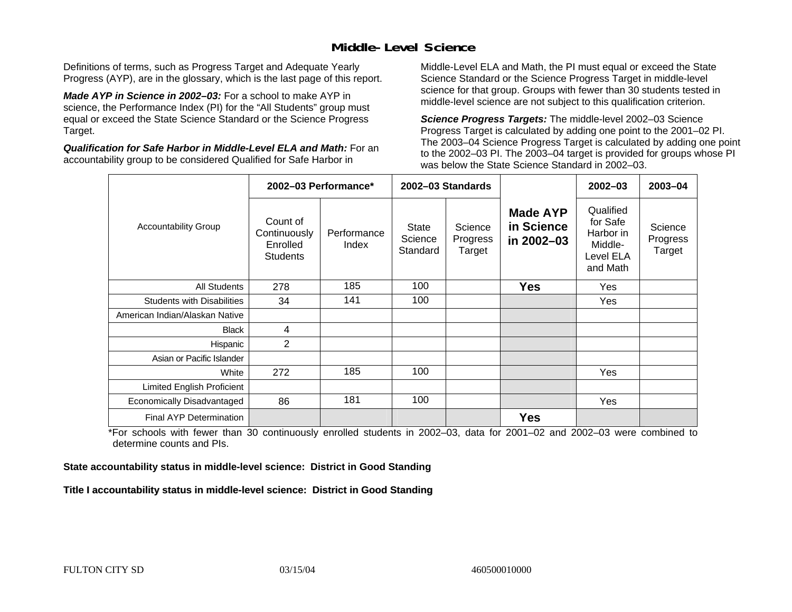### **Middle-Level Science**

Definitions of terms, such as Progress Target and Adequate Yearly Progress (AYP), are in the glossary, which is the last page of this report.

*Made AYP in Science in 2002–03:* For a school to make AYP in science, the Performance Index (PI) for the "All Students" group must equal or exceed the State Science Standard or the Science Progress Target.

*Qualification for Safe Harbor in Middle-Level ELA and Math:* For an accountability group to be considered Qualified for Safe Harbor in

Middle-Level ELA and Math, the PI must equal or exceed the State Science Standard or the Science Progress Target in middle-level science for that group. Groups with fewer than 30 students tested in middle-level science are not subject to this qualification criterion.

*Science Progress Targets:* The middle-level 2002–03 Science Progress Target is calculated by adding one point to the 2001–02 PI. The 2003–04 Science Progress Target is calculated by adding one point to the 2002–03 PI. The 2003–04 target is provided for groups whose PI was below the State Science Standard in 2002–03.

|                                   | 2002-03 Performance*                                    |                      |                              | 2002-03 Standards             |                                             | $2002 - 03$                                                            | $2003 - 04$                   |
|-----------------------------------|---------------------------------------------------------|----------------------|------------------------------|-------------------------------|---------------------------------------------|------------------------------------------------------------------------|-------------------------------|
| <b>Accountability Group</b>       | Count of<br>Continuously<br>Enrolled<br><b>Students</b> | Performance<br>Index | State<br>Science<br>Standard | Science<br>Progress<br>Target | <b>Made AYP</b><br>in Science<br>in 2002-03 | Qualified<br>for Safe<br>Harbor in<br>Middle-<br>Level ELA<br>and Math | Science<br>Progress<br>Target |
| <b>All Students</b>               | 278                                                     | 185                  | 100                          |                               | <b>Yes</b>                                  | Yes                                                                    |                               |
| <b>Students with Disabilities</b> | 34                                                      | 141                  | 100                          |                               |                                             | Yes                                                                    |                               |
| American Indian/Alaskan Native    |                                                         |                      |                              |                               |                                             |                                                                        |                               |
| <b>Black</b>                      | 4                                                       |                      |                              |                               |                                             |                                                                        |                               |
| Hispanic                          | 2                                                       |                      |                              |                               |                                             |                                                                        |                               |
| Asian or Pacific Islander         |                                                         |                      |                              |                               |                                             |                                                                        |                               |
| White                             | 272                                                     | 185                  | 100                          |                               |                                             | Yes                                                                    |                               |
| Limited English Proficient        |                                                         |                      |                              |                               |                                             |                                                                        |                               |
| Economically Disadvantaged        | 86                                                      | 181                  | 100                          |                               |                                             | Yes                                                                    |                               |
| Final AYP Determination           |                                                         |                      |                              |                               | <b>Yes</b>                                  |                                                                        |                               |

\*For schools with fewer than 30 continuously enrolled students in 2002–03, data for 2001–02 and 2002–03 were combined to determine counts and PIs.

**State accountability status in middle-level science: District in Good Standing** 

Title I accountability status in middle-level science: District in Good Standing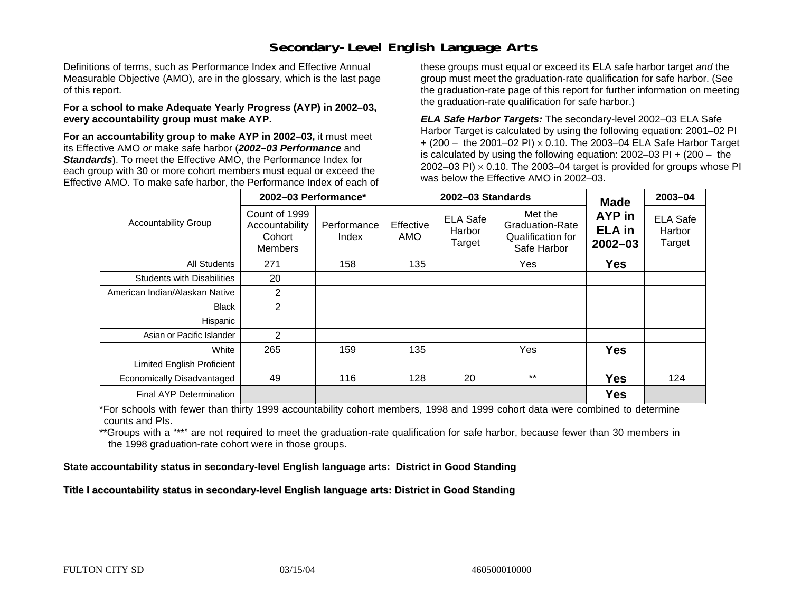### **Secondary-Level English Language Arts**

Definitions of terms, such as Performance Index and Effective Annual Measurable Objective (AMO), are in the glossary, which is the last page of this report.

#### **For a school to make Adequate Yearly Progress (AYP) in 2002–03, every accountability group must make AYP.**

**For an accountability group to make AYP in 2002–03,** it must meet its Effective AMO *or* make safe harbor (*2002–03 Performance* and *Standards*). To meet the Effective AMO, the Performance Index for each group with 30 or more cohort members must equal or exceed the Effective AMO. To make safe harbor, the Performance Index of each of these groups must equal or exceed its ELA safe harbor target *and* the group must meet the graduation-rate qualification for safe harbor. (See the graduation-rate page of this report for further information on meeting the graduation-rate qualification for safe harbor.)

*ELA Safe Harbor Targets:* The secondary-level 2002–03 ELA Safe Harbor Target is calculated by using the following equation: 2001–02 PI + (200 – the 2001–02 PI) <sup>×</sup> 0.10. The 2003–04 ELA Safe Harbor Target is calculated by using the following equation: 2002–03 PI + (200 – the 2002–03 PI)  $\times$  0.10. The 2003–04 target is provided for groups whose PI was below the Effective AMO in 2002–03.

|                                   | 2002-03 Performance*                                        |                      | 2002-03 Standards | <b>Made</b>                         | 2003-04                                                               |                                        |                                     |
|-----------------------------------|-------------------------------------------------------------|----------------------|-------------------|-------------------------------------|-----------------------------------------------------------------------|----------------------------------------|-------------------------------------|
| <b>Accountability Group</b>       | Count of 1999<br>Accountability<br>Cohort<br><b>Members</b> | Performance<br>Index | Effective<br>AMO  | <b>ELA Safe</b><br>Harbor<br>Target | Met the<br><b>Graduation-Rate</b><br>Qualification for<br>Safe Harbor | AYP in<br><b>ELA</b> in<br>$2002 - 03$ | <b>ELA Safe</b><br>Harbor<br>Target |
| <b>All Students</b>               | 271                                                         | 158                  | 135               |                                     | Yes                                                                   | <b>Yes</b>                             |                                     |
| <b>Students with Disabilities</b> | 20                                                          |                      |                   |                                     |                                                                       |                                        |                                     |
| American Indian/Alaskan Native    | 2                                                           |                      |                   |                                     |                                                                       |                                        |                                     |
| <b>Black</b>                      | $\overline{2}$                                              |                      |                   |                                     |                                                                       |                                        |                                     |
| Hispanic                          |                                                             |                      |                   |                                     |                                                                       |                                        |                                     |
| Asian or Pacific Islander         | 2                                                           |                      |                   |                                     |                                                                       |                                        |                                     |
| White                             | 265                                                         | 159                  | 135               |                                     | Yes                                                                   | <b>Yes</b>                             |                                     |
| Limited English Proficient        |                                                             |                      |                   |                                     |                                                                       |                                        |                                     |
| Economically Disadvantaged        | 49                                                          | 116                  | 128               | 20                                  | $***$                                                                 | <b>Yes</b>                             | 124                                 |
| Final AYP Determination           |                                                             |                      |                   |                                     |                                                                       | <b>Yes</b>                             |                                     |

\*For schools with fewer than thirty 1999 accountability cohort members, 1998 and 1999 cohort data were combined to determine counts and PIs.

\*\*Groups with a "\*\*" are not required to meet the graduation-rate qualification for safe harbor, because fewer than 30 members in the 1998 graduation-rate cohort were in those groups.

**State accountability status in secondary-level English language arts: District in Good Standing** 

Title I accountability status in secondary-level English language arts: District in Good Standing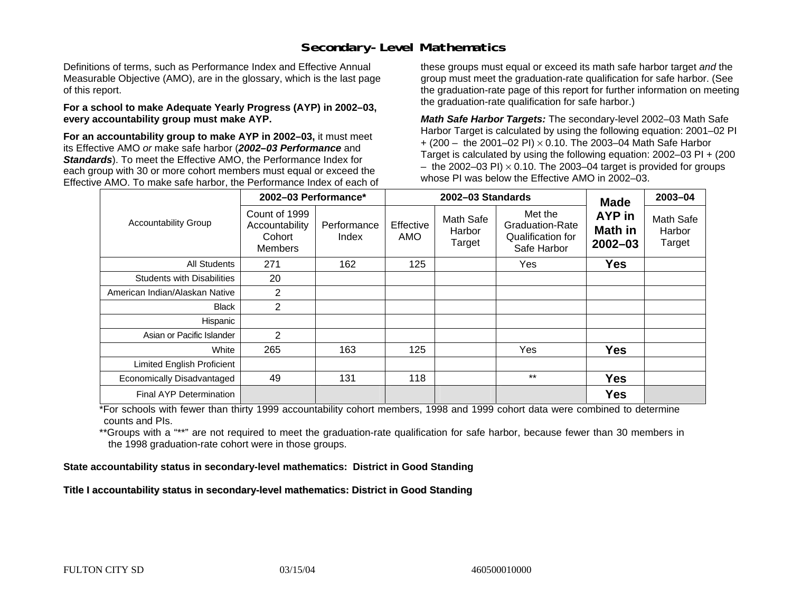### **Secondary-Level Mathematics**

Definitions of terms, such as Performance Index and Effective Annual Measurable Objective (AMO), are in the glossary, which is the last page of this report.

#### **For a school to make Adequate Yearly Progress (AYP) in 2002–03, every accountability group must make AYP.**

**For an accountability group to make AYP in 2002–03,** it must meet its Effective AMO *or* make safe harbor (*2002–03 Performance* and *Standards*). To meet the Effective AMO, the Performance Index for each group with 30 or more cohort members must equal or exceed the Effective AMO. To make safe harbor, the Performance Index of each of these groups must equal or exceed its math safe harbor target *and* the group must meet the graduation-rate qualification for safe harbor. (See the graduation-rate page of this report for further information on meeting the graduation-rate qualification for safe harbor.)

*Math Safe Harbor Targets:* The secondary-level 2002–03 Math Safe Harbor Target is calculated by using the following equation: 2001–02 PI + (200 – the 2001–02 PI) × 0.10. The 2003–04 Math Safe Harbor Target is calculated by using the following equation: 2002–03 PI + (200  $-$  the 2002–03 PI)  $\times$  0.10. The 2003–04 target is provided for groups whose PI was below the Effective AMO in 2002–03.

|                                   | 2002-03 Performance*                                        |                      |                  | 2002-03 Standards             | <b>Made</b>                                                           | 2003-04                          |                               |
|-----------------------------------|-------------------------------------------------------------|----------------------|------------------|-------------------------------|-----------------------------------------------------------------------|----------------------------------|-------------------------------|
| <b>Accountability Group</b>       | Count of 1999<br>Accountability<br>Cohort<br><b>Members</b> | Performance<br>Index | Effective<br>AMO | Math Safe<br>Harbor<br>Target | Met the<br><b>Graduation-Rate</b><br>Qualification for<br>Safe Harbor | AYP in<br>Math in<br>$2002 - 03$ | Math Safe<br>Harbor<br>Target |
| All Students                      | 271                                                         | 162                  | 125              |                               | Yes                                                                   | <b>Yes</b>                       |                               |
| <b>Students with Disabilities</b> | 20                                                          |                      |                  |                               |                                                                       |                                  |                               |
| American Indian/Alaskan Native    | $\overline{2}$                                              |                      |                  |                               |                                                                       |                                  |                               |
| <b>Black</b>                      | $\overline{2}$                                              |                      |                  |                               |                                                                       |                                  |                               |
| Hispanic                          |                                                             |                      |                  |                               |                                                                       |                                  |                               |
| Asian or Pacific Islander         | 2                                                           |                      |                  |                               |                                                                       |                                  |                               |
| White                             | 265                                                         | 163                  | 125              |                               | Yes                                                                   | <b>Yes</b>                       |                               |
| Limited English Proficient        |                                                             |                      |                  |                               |                                                                       |                                  |                               |
| Economically Disadvantaged        | 49                                                          | 131                  | 118              |                               | $***$                                                                 | <b>Yes</b>                       |                               |
| <b>Final AYP Determination</b>    |                                                             |                      |                  |                               |                                                                       | <b>Yes</b>                       |                               |

\*For schools with fewer than thirty 1999 accountability cohort members, 1998 and 1999 cohort data were combined to determine counts and PIs.

\*\*Groups with a "\*\*" are not required to meet the graduation-rate qualification for safe harbor, because fewer than 30 members in the 1998 graduation-rate cohort were in those groups.

**State accountability status in secondary-level mathematics: District in Good Standing** 

Title I accountability status in secondary-level mathematics: District in Good Standing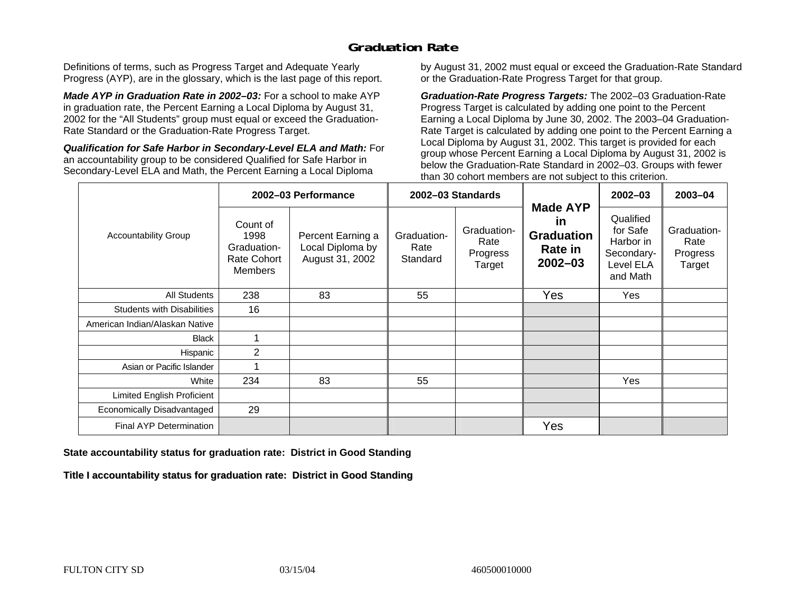### **Graduation Rate**

Definitions of terms, such as Progress Target and Adequate Yearly Progress (AYP), are in the glossary, which is the last page of this report.

*Made AYP in Graduation Rate in 2002–03:* For a school to make AYP in graduation rate, the Percent Earning a Local Diploma by August 31, 2002 for the "All Students" group must equal or exceed the Graduation-Rate Standard or the Graduation-Rate Progress Target.

*Qualification for Safe Harbor in Secondary-Level ELA and Math:* For an accountability group to be considered Qualified for Safe Harbor in Secondary-Level ELA and Math, the Percent Earning a Local Diploma

by August 31, 2002 must equal or exceed the Graduation-Rate Standard or the Graduation-Rate Progress Target for that group.

*Graduation-Rate Progress Targets:* The 2002–03 Graduation-Rate Progress Target is calculated by adding one point to the Percent Earning a Local Diploma by June 30, 2002. The 2003–04 Graduation-Rate Target is calculated by adding one point to the Percent Earning a Local Diploma by August 31, 2002. This target is provided for each group whose Percent Earning a Local Diploma by August 31, 2002 is below the Graduation-Rate Standard in 2002–03. Groups with fewer than 30 cohort members are not subject to this criterion.

|                                   |                                                                  | 2002-03 Performance                                      |                                 | 2002-03 Standards                         |                                                                                    | $2002 - 03$                                                               | 2003-04                                   |
|-----------------------------------|------------------------------------------------------------------|----------------------------------------------------------|---------------------------------|-------------------------------------------|------------------------------------------------------------------------------------|---------------------------------------------------------------------------|-------------------------------------------|
| <b>Accountability Group</b>       | Count of<br>1998<br>Graduation-<br>Rate Cohort<br><b>Members</b> | Percent Earning a<br>Local Diploma by<br>August 31, 2002 | Graduation-<br>Rate<br>Standard | Graduation-<br>Rate<br>Progress<br>Target | <b>Made AYP</b><br><b>in</b><br><b>Graduation</b><br><b>Rate in</b><br>$2002 - 03$ | Qualified<br>for Safe<br>Harbor in<br>Secondary-<br>Level ELA<br>and Math | Graduation-<br>Rate<br>Progress<br>Target |
| All Students                      | 238                                                              | 83                                                       | 55                              |                                           | Yes                                                                                | Yes                                                                       |                                           |
| <b>Students with Disabilities</b> | 16                                                               |                                                          |                                 |                                           |                                                                                    |                                                                           |                                           |
| American Indian/Alaskan Native    |                                                                  |                                                          |                                 |                                           |                                                                                    |                                                                           |                                           |
| <b>Black</b>                      |                                                                  |                                                          |                                 |                                           |                                                                                    |                                                                           |                                           |
| Hispanic                          | 2                                                                |                                                          |                                 |                                           |                                                                                    |                                                                           |                                           |
| Asian or Pacific Islander         |                                                                  |                                                          |                                 |                                           |                                                                                    |                                                                           |                                           |
| White                             | 234                                                              | 83                                                       | 55                              |                                           |                                                                                    | Yes                                                                       |                                           |
| Limited English Proficient        |                                                                  |                                                          |                                 |                                           |                                                                                    |                                                                           |                                           |
| Economically Disadvantaged        | 29                                                               |                                                          |                                 |                                           |                                                                                    |                                                                           |                                           |
| Final AYP Determination           |                                                                  |                                                          |                                 |                                           | Yes                                                                                |                                                                           |                                           |

#### **State accountability status for graduation rate: District in Good Standing**

Title I accountability status for graduation rate: District in Good Standing